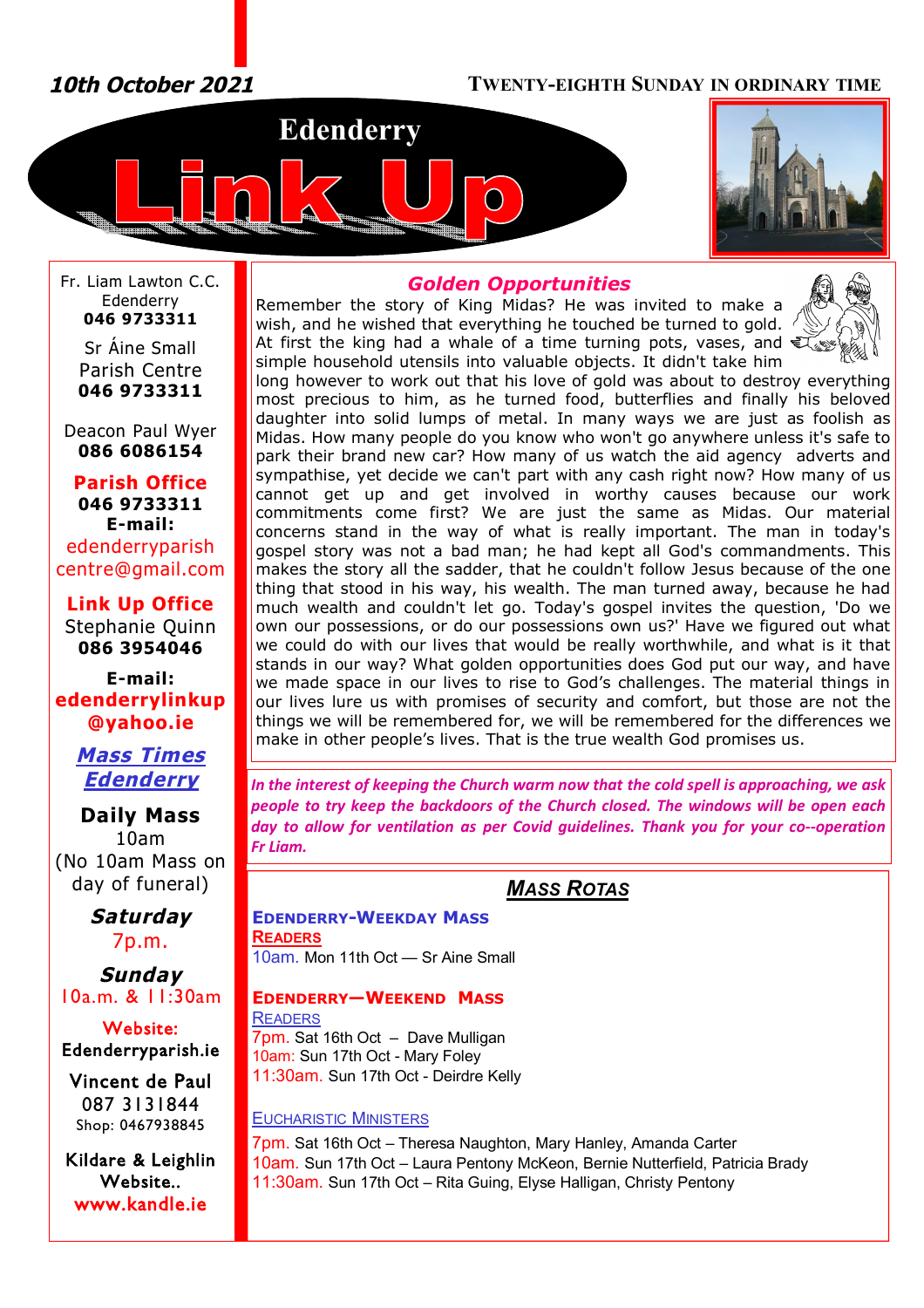*10th October 2021* **TWENTY-EIGHTH SUNDAY IN ORDINARY TIME**





Fr. Liam Lawton C.C. Edenderry **046 9733311**

Sr Áine Small Parish Centre **046 9733311**

Deacon Paul Wyer **086 6086154**

**Parish Office 046 9733311 E-mail:** edenderryparish [centre@gmail.com](mailto:centre@gmail.com)

**Link Up Office** Stephanie Quinn **086 3954046**

**E-mail: edenderrylinkup [@yahoo.ie](mailto:@yahoo.ie)**

### *Mass Times Edenderry*

**Daily Mass** 10am (No 10am Mass on day of funeral)

> *Saturday* 7p.m.

*Sunday* 10a.m. & 11:30am

**Website: Edenderryparish.ie**

**Vincent de Paul**  087 3131844 Shop: 0467938845

**Kildare & Leighlin Website.. [www.kandle.ie](http://www.kandle.ie)** 

### *Golden Opportunities*

Remember the story of King Midas? He was invited to make a wish, and he wished that everything he touched be turned to gold. At first the king had a whale of a time turning pots, vases, and  $\mathfrak{V}$ simple household utensils into valuable objects. It didn't take him



long however to work out that his love of gold was about to destroy everything most precious to him, as he turned food, butterflies and finally his beloved daughter into solid lumps of metal. In many ways we are just as foolish as Midas. How many people do you know who won't go anywhere unless it's safe to park their brand new car? How many of us watch the aid agency adverts and sympathise, yet decide we can't part with any cash right now? How many of us cannot get up and get involved in worthy causes because our work commitments come first? We are just the same as Midas. Our material concerns stand in the way of what is really important. The man in today's gospel story was not a bad man; he had kept all God's commandments. This makes the story all the sadder, that he couldn't follow Jesus because of the one thing that stood in his way, his wealth. The man turned away, because he had much wealth and couldn't let go. Today's gospel invites the question, 'Do we own our possessions, or do our possessions own us?' Have we figured out what we could do with our lives that would be really worthwhile, and what is it that stands in our way? What golden opportunities does God put our way, and have we made space in our lives to rise to God's challenges. The material things in our lives lure us with promises of security and comfort, but those are not the things we will be remembered for, we will be remembered for the differences we make in other people's lives. That is the true wealth God promises us.

*In the interest of keeping the Church warm now that the cold spell is approaching, we ask people to try keep the backdoors of the Church closed. The windows will be open each day to allow for ventilation as per Covid guidelines. Thank you for your co--operation Fr Liam.* 

## *MASS ROTAS*

**EDENDERRY-WEEKDAY MASS READERS** 10am. Mon 11th Oct — Sr Aine Small

### **EDENDERRY—WEEKEND MASS**

**READERS** 7pm. Sat 16th Oct – Dave Mulligan 10am: Sun 17th Oct - Mary Foley 11:30am. Sun 17th Oct - Deirdre Kelly

### EUCHARISTIC MINISTERS

7pm. Sat 16th Oct – Theresa Naughton, Mary Hanley, Amanda Carter 10am. Sun 17th Oct – Laura Pentony McKeon, Bernie Nutterfield, Patricia Brady 11:30am. Sun 17th Oct – Rita Guing, Elyse Halligan, Christy Pentony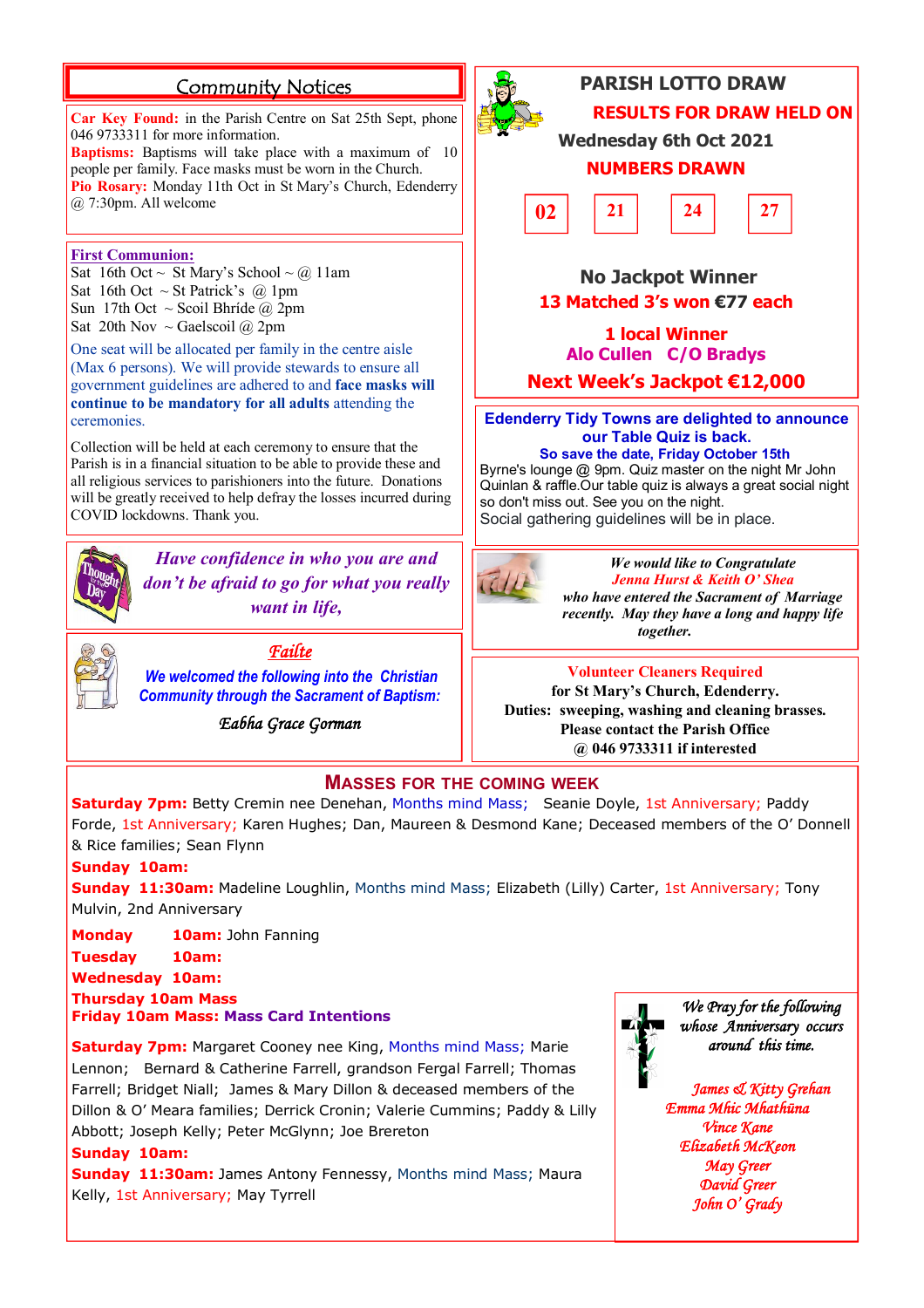## **Community Notices**

**Car Key Found:** in the Parish Centre on Sat 25th Sept, phone 046 9733311 for more information. **Baptisms:** Baptisms will take place with a maximum of 10

people per family. Face masks must be worn in the Church. **Pio Rosary:** Monday 11th Oct in St Mary's Church, Edenderry @ 7:30pm. All welcome

#### **First Communion:**

Sat 16th Oct ~ St Mary's School ~ @ 11am Sat 16th Oct  $\sim$  St Patrick's @ 1pm Sun 17th Oct ~ Scoil Bhríde @ 2pm Sat 20th Nov  $\sim$  Gaelscoil @ 2pm

One seat will be allocated per family in the centre aisle (Max 6 persons). We will provide stewards to ensure all government guidelines are adhered to and **face masks will continue to be mandatory for all adults** attending the ceremonies.

Collection will be held at each ceremony to ensure that the Parish is in a financial situation to be able to provide these and all religious services to parishioners into the future. Donations will be greatly received to help defray the losses incurred during COVID lockdowns. Thank you.



*Have confidence in who you are and don't be afraid to go for what you really want in life,*



*Failte We welcomed the following into the Christian* 

*Community through the Sacrament of Baptism:*

*Eabha Grace Gorman* 



# **PARISH LOTTO DRAW RESULTS FOR DRAW HELD ON**

**Wednesday 6th Oct 2021**

### **NUMBERS DRAWN**



### **No Jackpot Winner 13 Matched 3's won €77 each**

**1 local Winner Alo Cullen C/O Bradys**

**Next Week's Jackpot €12,000**

**Edenderry Tidy Towns are delighted to announce our Table Quiz is back. So save the date, Friday October 15th**

Byrne's lounge @ 9pm. Quiz master on the night Mr John Quinlan & raffle.Our table quiz is always a great social night so don't miss out. See you on the night. Social gathering guidelines will be in place.



*We would like to Congratulate Jenna Hurst & Keith O' Shea who have entered the Sacrament of Marriage recently. May they have a long and happy life together.*

**Volunteer Cleaners Required for St Mary's Church, Edenderry. Duties: sweeping, washing and cleaning brasses. Please contact the Parish Office @ 046 9733311 if interested** 

### **MASSES FOR THE COMING WEEK**

**Saturday 7pm:** Betty Cremin nee Denehan, Months mind Mass; Seanie Doyle, 1st Anniversary; Paddy Forde, 1st Anniversary; Karen Hughes; Dan, Maureen & Desmond Kane; Deceased members of the O' Donnell & Rice families; Sean Flynn

#### **Sunday 10am:**

**Sunday 11:30am:** Madeline Loughlin, Months mind Mass; Elizabeth (Lilly) Carter, 1st Anniversary; Tony Mulvin, 2nd Anniversary

**Monday 10am:** John Fanning

**Tuesday 10am:**

**Wednesday 10am:** 

**Thursday 10am Mass**

**Friday 10am Mass: Mass Card Intentions**

**Saturday 7pm:** Margaret Cooney nee King, Months mind Mass; Marie Lennon; Bernard & Catherine Farrell, grandson Fergal Farrell; Thomas Farrell; Bridget Niall; James & Mary Dillon & deceased members of the Dillon & O' Meara families; Derrick Cronin; Valerie Cummins; Paddy & Lilly Abbott; Joseph Kelly; Peter McGlynn; Joe Brereton

#### **Sunday 10am:**

**Sunday 11:30am:** James Antony Fennessy, Months mind Mass; Maura Kelly, 1st Anniversary; May Tyrrell



*We Pray for the following whose Anniversary occurs around this time.* 

*James & Kitty Grehan Emma Mhic Mhathūna Vince Kane Elizabeth McKeon May Greer David Greer John O' Grady*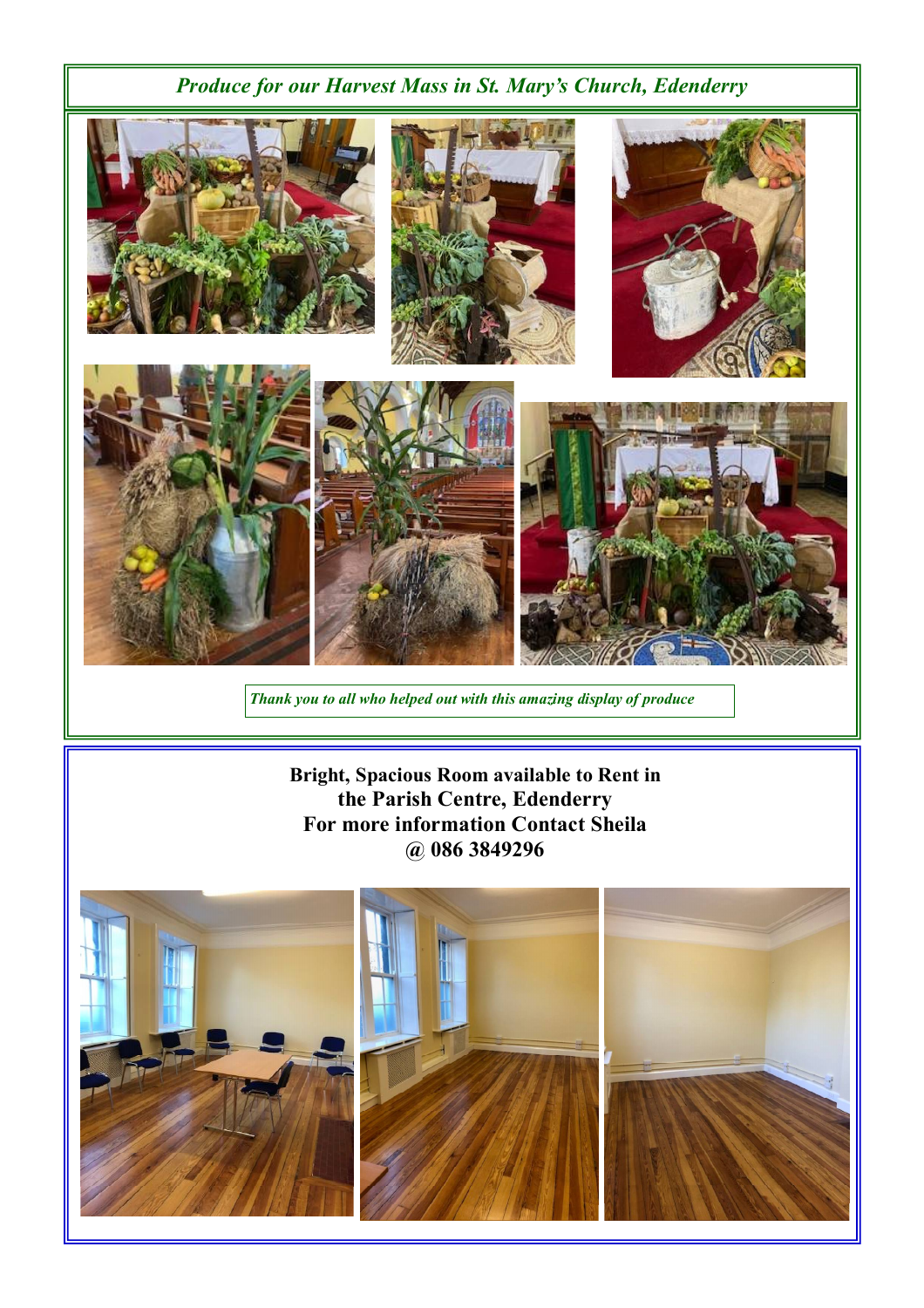# *Produce for our Harvest Mass in St. Mary's Church, Edenderry*



*Thank you to all who helped out with this amazing display of produce*

**Bright, Spacious Room available to Rent in the Parish Centre, Edenderry For more information Contact Sheila @ 086 3849296**